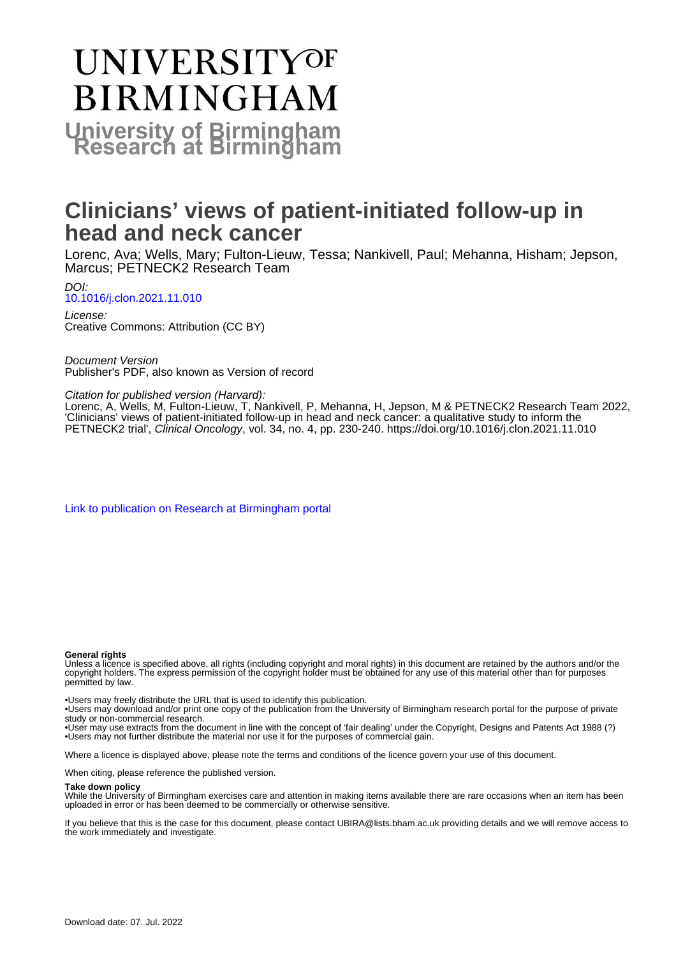# **UNIVERSITYOF BIRMINGHAM University of Birmingham**

## **Clinicians' views of patient-initiated follow-up in head and neck cancer**

Lorenc, Ava; Wells, Mary; Fulton-Lieuw, Tessa; Nankivell, Paul; Mehanna, Hisham; Jepson, Marcus; PETNECK2 Research Team

DOI: [10.1016/j.clon.2021.11.010](https://doi.org/10.1016/j.clon.2021.11.010)

License: Creative Commons: Attribution (CC BY)

Document Version Publisher's PDF, also known as Version of record

Citation for published version (Harvard):

Lorenc, A, Wells, M, Fulton-Lieuw, T, Nankivell, P, Mehanna, H, Jepson, M & PETNECK2 Research Team 2022, 'Clinicians' views of patient-initiated follow-up in head and neck cancer: a qualitative study to inform the PETNECK2 trial', Clinical Oncology, vol. 34, no. 4, pp. 230-240. <https://doi.org/10.1016/j.clon.2021.11.010>

[Link to publication on Research at Birmingham portal](https://birmingham.elsevierpure.com/en/publications/2eb59b88-8765-4929-adaa-5d5ae8be9531)

#### **General rights**

Unless a licence is specified above, all rights (including copyright and moral rights) in this document are retained by the authors and/or the copyright holders. The express permission of the copyright holder must be obtained for any use of this material other than for purposes permitted by law.

• Users may freely distribute the URL that is used to identify this publication.

• Users may download and/or print one copy of the publication from the University of Birmingham research portal for the purpose of private study or non-commercial research.

• User may use extracts from the document in line with the concept of 'fair dealing' under the Copyright, Designs and Patents Act 1988 (?) • Users may not further distribute the material nor use it for the purposes of commercial gain.

Where a licence is displayed above, please note the terms and conditions of the licence govern your use of this document.

When citing, please reference the published version.

#### **Take down policy**

While the University of Birmingham exercises care and attention in making items available there are rare occasions when an item has been uploaded in error or has been deemed to be commercially or otherwise sensitive.

If you believe that this is the case for this document, please contact UBIRA@lists.bham.ac.uk providing details and we will remove access to the work immediately and investigate.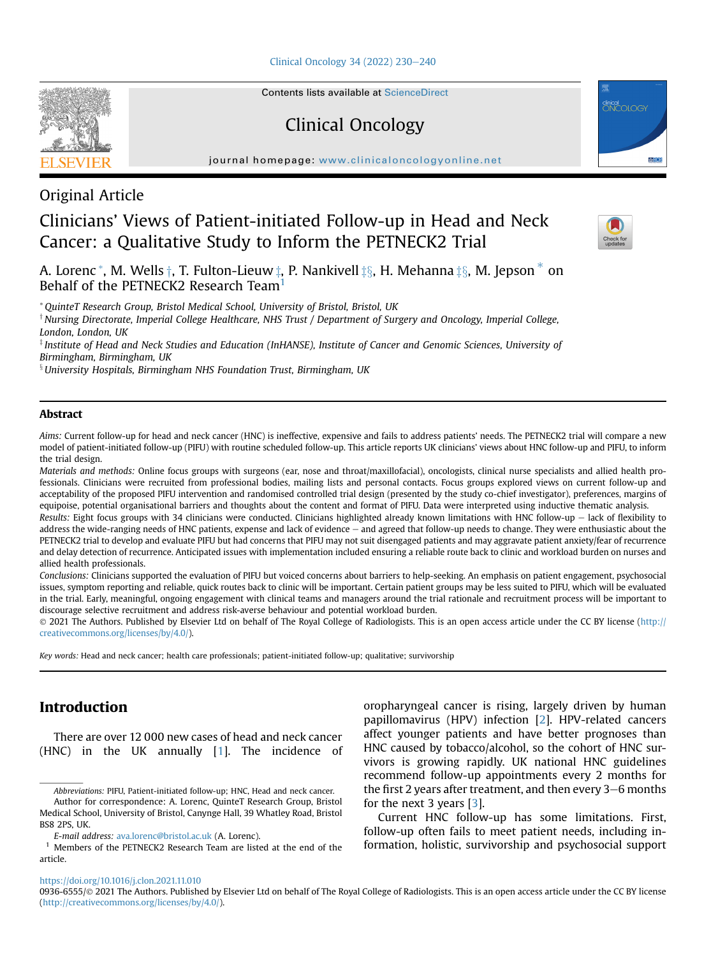[Clinical Oncology 34 \(2022\) 230](https://doi.org/10.1016/j.clon.2021.11.010)-[240](https://doi.org/10.1016/j.clon.2021.11.010)

Contents lists available at ScienceDirect

Clinical Oncology

journal homepage: [www.clinicaloncologyonline.net](http://www.clinicaloncologyonline.net)





### Original Article

## Clinicians' Views of Patient-initiated Follow-up in Head and Neck Cancer: a Qualitative Study to Inform the PETNECK2 Trial



A. Lorenc  $^*$  $^*$ , M. Wells  $\dagger$ , T. Fulton-Lieuw  $\ddagger$ , P. Nankivell  $\ddagger$ §, H. Mehanna  $\ddagger$ §, M. Jepson  $^*$  on Behalf of the PETNECK2 Research Team<sup>[1](#page-1-1)</sup>

<span id="page-1-0"></span>\*QuinteT Research Group, Bristol Medical School, University of Bristol, Bristol, UK

 $^{\dagger}$  Nursing Directorate, Imperial College Healthcare, NHS Trust / Department of Surgery and Oncology, Imperial College, London, London, UK

 $^\ddag$ Institute of Head and Neck Studies and Education (InHANSE), Institute of Cancer and Genomic Sciences, University of Birmingham, Birmingham, UK

 $\frac{8}{3}$ University Hospitals, Birmingham NHS Foundation Trust, Birmingham, UK

#### Abstract

Aims: Current follow-up for head and neck cancer (HNC) is ineffective, expensive and fails to address patients' needs. The PETNECK2 trial will compare a new model of patient-initiated follow-up (PIFU) with routine scheduled follow-up. This article reports UK clinicians' views about HNC follow-up and PIFU, to inform the trial design.

Materials and methods: Online focus groups with surgeons (ear, nose and throat/maxillofacial), oncologists, clinical nurse specialists and allied health professionals. Clinicians were recruited from professional bodies, mailing lists and personal contacts. Focus groups explored views on current follow-up and acceptability of the proposed PIFU intervention and randomised controlled trial design (presented by the study co-chief investigator), preferences, margins of equipoise, potential organisational barriers and thoughts about the content and format of PIFU. Data were interpreted using inductive thematic analysis.

Results: Eight focus groups with 34 clinicians were conducted. Clinicians highlighted already known limitations with HNC follow-up - lack of flexibility to address the wide-ranging needs of HNC patients, expense and lack of evidence - and agreed that follow-up needs to change. They were enthusiastic about the PETNECK2 trial to develop and evaluate PIFU but had concerns that PIFU may not suit disengaged patients and may aggravate patient anxiety/fear of recurrence and delay detection of recurrence. Anticipated issues with implementation included ensuring a reliable route back to clinic and workload burden on nurses and allied health professionals.

Conclusions: Clinicians supported the evaluation of PIFU but voiced concerns about barriers to help-seeking. An emphasis on patient engagement, psychosocial issues, symptom reporting and reliable, quick routes back to clinic will be important. Certain patient groups may be less suited to PIFU, which will be evaluated in the trial. Early, meaningful, ongoing engagement with clinical teams and managers around the trial rationale and recruitment process will be important to discourage selective recruitment and address risk-averse behaviour and potential workload burden.

 2021 The Authors. Published by Elsevier Ltd on behalf of The Royal College of Radiologists. This is an open access article under the CC BY license ([http://](http://creativecommons.org/licenses/by/4.0/) [creativecommons.org/licenses/by/4.0/](http://creativecommons.org/licenses/by/4.0/)).

Key words: Head and neck cancer; health care professionals; patient-initiated follow-up; qualitative; survivorship

#### Introduction

There are over 12 000 new cases of head and neck cancer (HNC) in the UK annually [\[1\]](#page-8-0). The incidence of oropharyngeal cancer is rising, largely driven by human papillomavirus (HPV) infection [[2\]](#page-8-1). HPV-related cancers affect younger patients and have better prognoses than HNC caused by tobacco/alcohol, so the cohort of HNC survivors is growing rapidly. UK national HNC guidelines recommend follow-up appointments every 2 months for the first 2 years after treatment, and then every  $3-6$  months for the next 3 years [[3\]](#page-8-2).

Current HNC follow-up has some limitations. First, follow-up often fails to meet patient needs, including information, holistic, survivorship and psychosocial support

<https://doi.org/10.1016/j.clon.2021.11.010>

Abbreviations: PIFU, Patient-initiated follow-up; HNC, Head and neck cancer. Author for correspondence: A. Lorenc, QuinteT Research Group, Bristol Medical School, University of Bristol, Canynge Hall, 39 Whatley Road, Bristol BS8 2PS, UK.

E-mail address: [ava.lorenc@bristol.ac.uk](mailto:ava.lorenc@bristol.ac.uk) (A. Lorenc).

<span id="page-1-1"></span><sup>1</sup> Members of the PETNECK2 Research Team are listed at the end of the article.

<sup>0936-6555/@ 2021</sup> The Authors. Published by Elsevier Ltd on behalf of The Royal College of Radiologists. This is an open access article under the CC BY license [\(http://creativecommons.org/licenses/by/4.0/](http://creativecommons.org/licenses/by/4.0/)).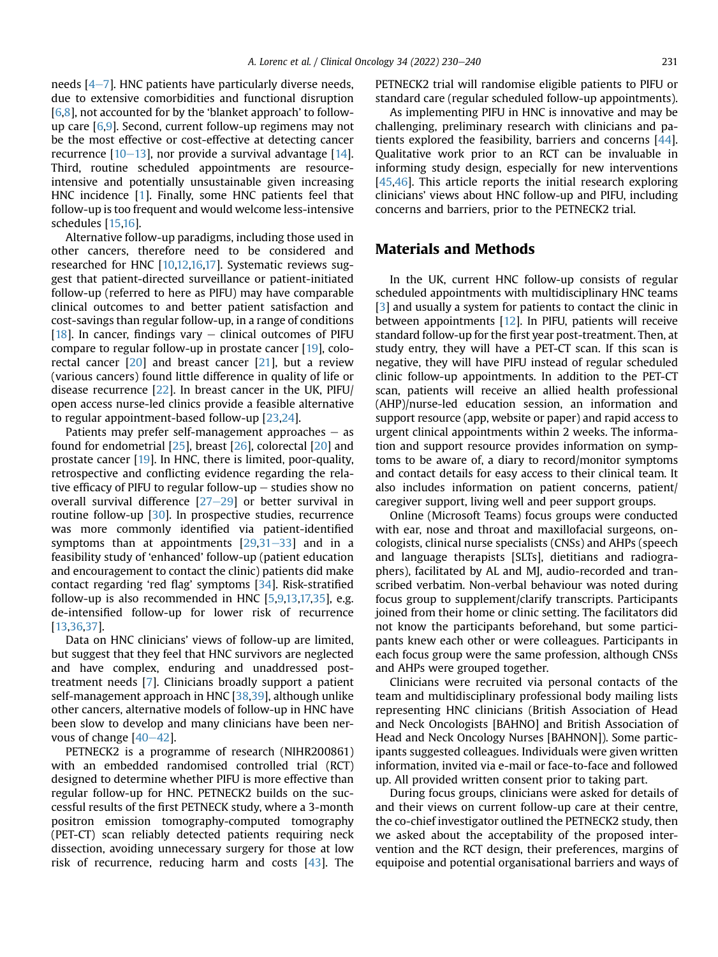needs  $[4-7]$  $[4-7]$  $[4-7]$  $[4-7]$ . HNC patients have particularly diverse needs, due to extensive comorbidities and functional disruption [[6](#page-8-4)[,8\]](#page-8-5), not accounted for by the 'blanket approach' to followup care [\[6,](#page-8-4)[9](#page-8-6)]. Second, current follow-up regimens may not be the most effective or cost-effective at detecting cancer recurrence  $[10-13]$  $[10-13]$  $[10-13]$  $[10-13]$  $[10-13]$ , nor provide a survival advantage  $[14]$  $[14]$ . Third, routine scheduled appointments are resourceintensive and potentially unsustainable given increasing HNC incidence [\[1\]](#page-8-0). Finally, some HNC patients feel that follow-up is too frequent and would welcome less-intensive schedules [\[15](#page-8-9),[16\]](#page-8-10).

Alternative follow-up paradigms, including those used in other cancers, therefore need to be considered and researched for HNC [[10,](#page-8-7)[12,](#page-8-11)[16](#page-8-10)[,17](#page-9-0)]. Systematic reviews suggest that patient-directed surveillance or patient-initiated follow-up (referred to here as PIFU) may have comparable clinical outcomes to and better patient satisfaction and cost-savings than regular follow-up, in a range of conditions [[18\]](#page-9-1). In cancer, findings vary  $-$  clinical outcomes of PIFU compare to regular follow-up in prostate cancer [[19\]](#page-9-2), colorectal cancer [\[20](#page-9-3)] and breast cancer [[21\]](#page-9-4), but a review (various cancers) found little difference in quality of life or disease recurrence [[22](#page-9-5)]. In breast cancer in the UK, PIFU/ open access nurse-led clinics provide a feasible alternative to regular appointment-based follow-up [\[23,](#page-9-6)[24](#page-9-7)].

Patients may prefer self-management approaches  $-$  as found for endometrial [\[25\]](#page-9-8), breast [\[26](#page-9-9)], colorectal [[20\]](#page-9-3) and prostate cancer [\[19](#page-9-2)]. In HNC, there is limited, poor-quality, retrospective and conflicting evidence regarding the relative efficacy of PIFU to regular follow-up  $-$  studies show no overall survival difference  $[27-29]$  $[27-29]$  $[27-29]$  $[27-29]$  or better survival in routine follow-up [\[30](#page-9-11)]. In prospective studies, recurrence was more commonly identified via patient-identified symptoms than at appointments  $[29,31-33]$  $[29,31-33]$  $[29,31-33]$  $[29,31-33]$  $[29,31-33]$  and in a feasibility study of 'enhanced' follow-up (patient education and encouragement to contact the clinic) patients did make contact regarding 'red flag' symptoms [[34](#page-9-14)]. Risk-stratified follow-up is also recommended in HNC [[5](#page-8-12)[,9](#page-8-6),[13](#page-8-13)[,17,](#page-9-0)[35](#page-9-15)], e.g. de-intensified follow-up for lower risk of recurrence [[13,](#page-8-13)[36,](#page-9-16)[37](#page-9-17)].

Data on HNC clinicians' views of follow-up are limited, but suggest that they feel that HNC survivors are neglected and have complex, enduring and unaddressed posttreatment needs [\[7\]](#page-8-14). Clinicians broadly support a patient self-management approach in HNC [[38](#page-9-18),[39](#page-9-19)], although unlike other cancers, alternative models of follow-up in HNC have been slow to develop and many clinicians have been nervous of change  $[40-42]$  $[40-42]$  $[40-42]$ .

PETNECK2 is a programme of research (NIHR200861) with an embedded randomised controlled trial (RCT) designed to determine whether PIFU is more effective than regular follow-up for HNC. PETNECK2 builds on the successful results of the first PETNECK study, where a 3-month positron emission tomography-computed tomography (PET-CT) scan reliably detected patients requiring neck dissection, avoiding unnecessary surgery for those at low risk of recurrence, reducing harm and costs [[43\]](#page-10-0). The PETNECK2 trial will randomise eligible patients to PIFU or standard care (regular scheduled follow-up appointments).

As implementing PIFU in HNC is innovative and may be challenging, preliminary research with clinicians and patients explored the feasibility, barriers and concerns [\[44](#page-10-1)]. Qualitative work prior to an RCT can be invaluable in informing study design, especially for new interventions [[45](#page-10-2),[46](#page-10-3)]. This article reports the initial research exploring clinicians' views about HNC follow-up and PIFU, including concerns and barriers, prior to the PETNECK2 trial.

#### Materials and Methods

In the UK, current HNC follow-up consists of regular scheduled appointments with multidisciplinary HNC teams [[3](#page-8-2)] and usually a system for patients to contact the clinic in between appointments [\[12](#page-8-11)]. In PIFU, patients will receive standard follow-up for the first year post-treatment. Then, at study entry, they will have a PET-CT scan. If this scan is negative, they will have PIFU instead of regular scheduled clinic follow-up appointments. In addition to the PET-CT scan, patients will receive an allied health professional (AHP)/nurse-led education session, an information and support resource (app, website or paper) and rapid access to urgent clinical appointments within 2 weeks. The information and support resource provides information on symptoms to be aware of, a diary to record/monitor symptoms and contact details for easy access to their clinical team. It also includes information on patient concerns, patient/ caregiver support, living well and peer support groups.

Online (Microsoft Teams) focus groups were conducted with ear, nose and throat and maxillofacial surgeons, oncologists, clinical nurse specialists (CNSs) and AHPs (speech and language therapists [SLTs], dietitians and radiographers), facilitated by AL and MJ, audio-recorded and transcribed verbatim. Non-verbal behaviour was noted during focus group to supplement/clarify transcripts. Participants joined from their home or clinic setting. The facilitators did not know the participants beforehand, but some participants knew each other or were colleagues. Participants in each focus group were the same profession, although CNSs and AHPs were grouped together.

Clinicians were recruited via personal contacts of the team and multidisciplinary professional body mailing lists representing HNC clinicians (British Association of Head and Neck Oncologists [BAHNO] and British Association of Head and Neck Oncology Nurses [BAHNON]). Some participants suggested colleagues. Individuals were given written information, invited via e-mail or face-to-face and followed up. All provided written consent prior to taking part.

During focus groups, clinicians were asked for details of and their views on current follow-up care at their centre, the co-chief investigator outlined the PETNECK2 study, then we asked about the acceptability of the proposed intervention and the RCT design, their preferences, margins of equipoise and potential organisational barriers and ways of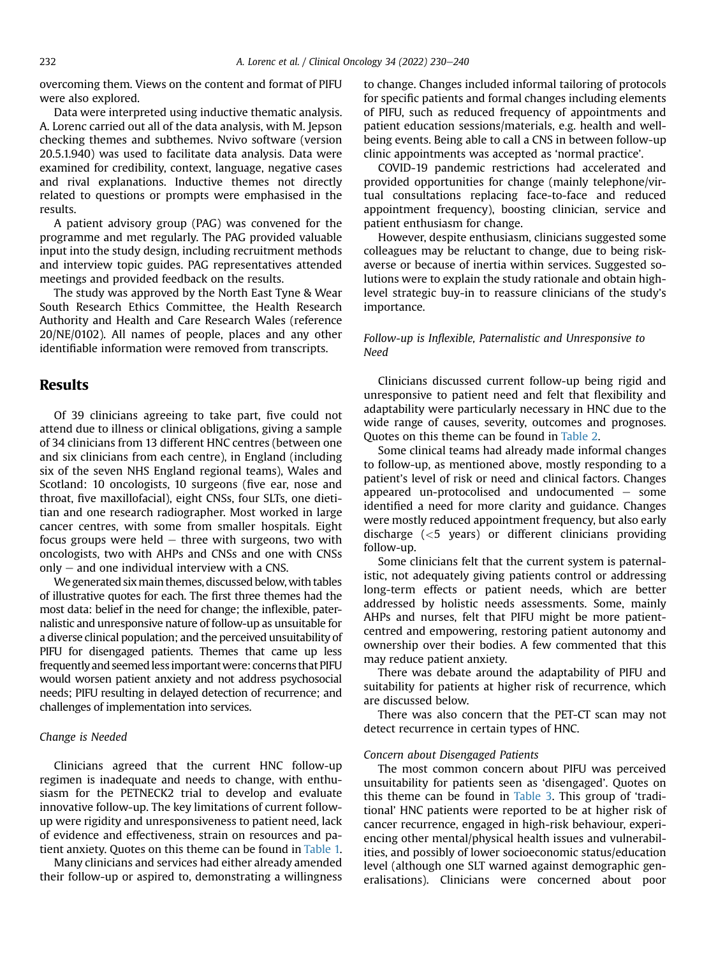overcoming them. Views on the content and format of PIFU were also explored.

Data were interpreted using inductive thematic analysis. A. Lorenc carried out all of the data analysis, with M. Jepson checking themes and subthemes. Nvivo software (version 20.5.1.940) was used to facilitate data analysis. Data were examined for credibility, context, language, negative cases and rival explanations. Inductive themes not directly related to questions or prompts were emphasised in the results.

A patient advisory group (PAG) was convened for the programme and met regularly. The PAG provided valuable input into the study design, including recruitment methods and interview topic guides. PAG representatives attended meetings and provided feedback on the results.

The study was approved by the North East Tyne & Wear South Research Ethics Committee, the Health Research Authority and Health and Care Research Wales (reference 20/NE/0102). All names of people, places and any other identifiable information were removed from transcripts.

#### Results

Of 39 clinicians agreeing to take part, five could not attend due to illness or clinical obligations, giving a sample of 34 clinicians from 13 different HNC centres (between one and six clinicians from each centre), in England (including six of the seven NHS England regional teams), Wales and Scotland: 10 oncologists, 10 surgeons (five ear, nose and throat, five maxillofacial), eight CNSs, four SLTs, one dietitian and one research radiographer. Most worked in large cancer centres, with some from smaller hospitals. Eight focus groups were held  $-$  three with surgeons, two with oncologists, two with AHPs and CNSs and one with CNSs  $only - and one individual interview with a CNS.$ 

We generated six main themes, discussed below, with tables of illustrative quotes for each. The first three themes had the most data: belief in the need for change; the inflexible, paternalistic and unresponsive nature of follow-up as unsuitable for a diverse clinical population; and the perceived unsuitability of PIFU for disengaged patients. Themes that came up less frequently and seemed less important were: concerns that PIFU would worsen patient anxiety and not address psychosocial needs; PIFU resulting in delayed detection of recurrence; and challenges of implementation into services.

#### Change is Needed

Clinicians agreed that the current HNC follow-up regimen is inadequate and needs to change, with enthusiasm for the PETNECK2 trial to develop and evaluate innovative follow-up. The key limitations of current followup were rigidity and unresponsiveness to patient need, lack of evidence and effectiveness, strain on resources and patient anxiety. Quotes on this theme can be found in [Table 1.](#page-5-0)

Many clinicians and services had either already amended their follow-up or aspired to, demonstrating a willingness to change. Changes included informal tailoring of protocols for specific patients and formal changes including elements of PIFU, such as reduced frequency of appointments and patient education sessions/materials, e.g. health and wellbeing events. Being able to call a CNS in between follow-up clinic appointments was accepted as 'normal practice'.

COVID-19 pandemic restrictions had accelerated and provided opportunities for change (mainly telephone/virtual consultations replacing face-to-face and reduced appointment frequency), boosting clinician, service and patient enthusiasm for change.

However, despite enthusiasm, clinicians suggested some colleagues may be reluctant to change, due to being riskaverse or because of inertia within services. Suggested solutions were to explain the study rationale and obtain highlevel strategic buy-in to reassure clinicians of the study's importance.

#### Follow-up is Inflexible, Paternalistic and Unresponsive to Need

Clinicians discussed current follow-up being rigid and unresponsive to patient need and felt that flexibility and adaptability were particularly necessary in HNC due to the wide range of causes, severity, outcomes and prognoses. Quotes on this theme can be found in [Table 2](#page-5-1).

Some clinical teams had already made informal changes to follow-up, as mentioned above, mostly responding to a patient's level of risk or need and clinical factors. Changes appeared un-protocolised and undocumented  $-$  some identified a need for more clarity and guidance. Changes were mostly reduced appointment frequency, but also early discharge (<5 years) or different clinicians providing follow-up.

Some clinicians felt that the current system is paternalistic, not adequately giving patients control or addressing long-term effects or patient needs, which are better addressed by holistic needs assessments. Some, mainly AHPs and nurses, felt that PIFU might be more patientcentred and empowering, restoring patient autonomy and ownership over their bodies. A few commented that this may reduce patient anxiety.

There was debate around the adaptability of PIFU and suitability for patients at higher risk of recurrence, which are discussed below.

There was also concern that the PET-CT scan may not detect recurrence in certain types of HNC.

#### Concern about Disengaged Patients

The most common concern about PIFU was perceived unsuitability for patients seen as 'disengaged'. Quotes on this theme can be found in [Table 3](#page-6-0). This group of 'traditional' HNC patients were reported to be at higher risk of cancer recurrence, engaged in high-risk behaviour, experiencing other mental/physical health issues and vulnerabilities, and possibly of lower socioeconomic status/education level (although one SLT warned against demographic generalisations). Clinicians were concerned about poor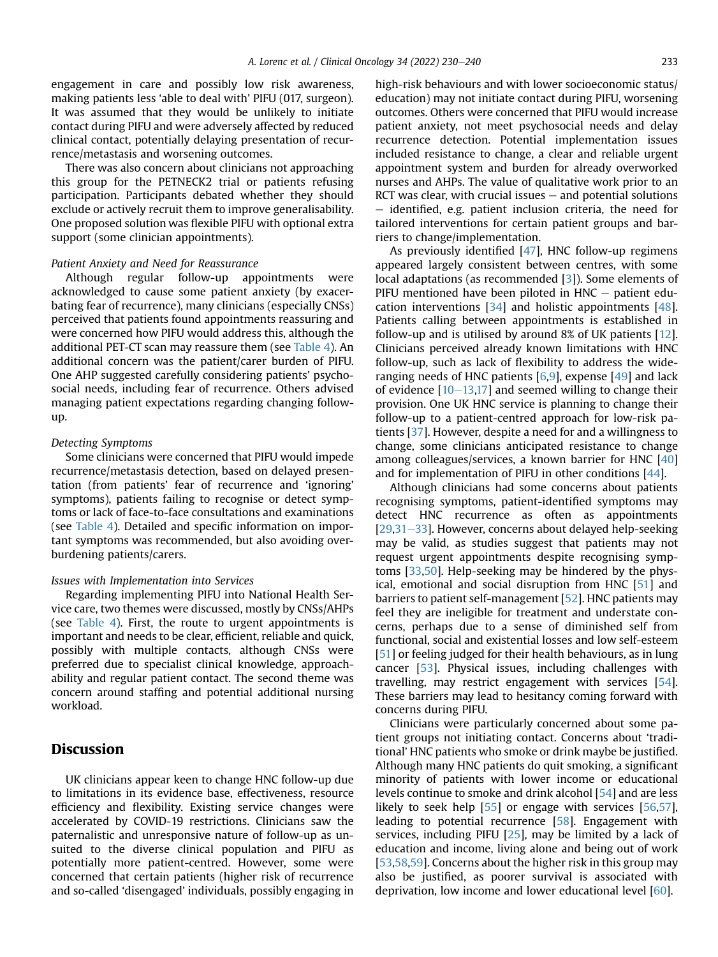engagement in care and possibly low risk awareness, making patients less 'able to deal with' PIFU (017, surgeon). It was assumed that they would be unlikely to initiate contact during PIFU and were adversely affected by reduced clinical contact, potentially delaying presentation of recurrence/metastasis and worsening outcomes.

There was also concern about clinicians not approaching this group for the PETNECK2 trial or patients refusing participation. Participants debated whether they should exclude or actively recruit them to improve generalisability. One proposed solution was flexible PIFU with optional extra support (some clinician appointments).

#### Patient Anxiety and Need for Reassurance

Although regular follow-up appointments were acknowledged to cause some patient anxiety (by exacerbating fear of recurrence), many clinicians (especially CNSs) perceived that patients found appointments reassuring and were concerned how PIFU would address this, although the additional PET-CT scan may reassure them (see [Table 4\)](#page-6-1). An additional concern was the patient/carer burden of PIFU. One AHP suggested carefully considering patients' psychosocial needs, including fear of recurrence. Others advised managing patient expectations regarding changing followup.

#### Detecting Symptoms

Some clinicians were concerned that PIFU would impede recurrence/metastasis detection, based on delayed presentation (from patients' fear of recurrence and 'ignoring' symptoms), patients failing to recognise or detect symptoms or lack of face-to-face consultations and examinations (see [Table 4](#page-6-1)). Detailed and specific information on important symptoms was recommended, but also avoiding overburdening patients/carers.

#### Issues with Implementation into Services

Regarding implementing PIFU into National Health Service care, two themes were discussed, mostly by CNSs/AHPs (see [Table 4](#page-6-1)). First, the route to urgent appointments is important and needs to be clear, efficient, reliable and quick, possibly with multiple contacts, although CNSs were preferred due to specialist clinical knowledge, approachability and regular patient contact. The second theme was concern around staffing and potential additional nursing workload.

#### **Discussion**

UK clinicians appear keen to change HNC follow-up due to limitations in its evidence base, effectiveness, resource efficiency and flexibility. Existing service changes were accelerated by COVID-19 restrictions. Clinicians saw the paternalistic and unresponsive nature of follow-up as unsuited to the diverse clinical population and PIFU as potentially more patient-centred. However, some were concerned that certain patients (higher risk of recurrence and so-called 'disengaged' individuals, possibly engaging in high-risk behaviours and with lower socioeconomic status/ education) may not initiate contact during PIFU, worsening outcomes. Others were concerned that PIFU would increase patient anxiety, not meet psychosocial needs and delay recurrence detection. Potential implementation issues included resistance to change, a clear and reliable urgent appointment system and burden for already overworked nurses and AHPs. The value of qualitative work prior to an RCT was clear, with crucial issues  $-$  and potential solutions  $-$  identified, e.g. patient inclusion criteria, the need for tailored interventions for certain patient groups and barriers to change/implementation.

As previously identified [\[47\]](#page-10-4), HNC follow-up regimens appeared largely consistent between centres, with some local adaptations (as recommended [\[3\]](#page-8-2)). Some elements of PIFU mentioned have been piloted in  $HNC$  – patient education interventions [\[34\]](#page-9-14) and holistic appointments [\[48](#page-10-5)]. Patients calling between appointments is established in follow-up and is utilised by around 8% of UK patients [[12](#page-8-11)]. Clinicians perceived already known limitations with HNC follow-up, such as lack of flexibility to address the wideranging needs of HNC patients [\[6](#page-8-4),[9\]](#page-8-6), expense [\[49\]](#page-10-6) and lack of evidence  $[10-13,17]$  $[10-13,17]$  $[10-13,17]$  $[10-13,17]$  $[10-13,17]$  and seemed willing to change their provision. One UK HNC service is planning to change their follow-up to a patient-centred approach for low-risk patients [\[37](#page-9-17)]. However, despite a need for and a willingness to change, some clinicians anticipated resistance to change among colleagues/services, a known barrier for HNC [[40](#page-9-20)] and for implementation of PIFU in other conditions [[44\]](#page-10-1).

Although clinicians had some concerns about patients recognising symptoms, patient-identified symptoms may detect HNC recurrence as often as appointments  $[29,31-33]$  $[29,31-33]$  $[29,31-33]$  $[29,31-33]$  $[29,31-33]$  $[29,31-33]$ . However, concerns about delayed help-seeking may be valid, as studies suggest that patients may not request urgent appointments despite recognising symptoms [\[33,](#page-9-21)[50\]](#page-10-7). Help-seeking may be hindered by the physical, emotional and social disruption from HNC [[51\]](#page-10-8) and barriers to patient self-management [[52\]](#page-10-9). HNC patients may feel they are ineligible for treatment and understate concerns, perhaps due to a sense of diminished self from functional, social and existential losses and low self-esteem [[51\]](#page-10-8) or feeling judged for their health behaviours, as in lung cancer [[53\]](#page-10-10). Physical issues, including challenges with travelling, may restrict engagement with services [\[54](#page-10-11)]. These barriers may lead to hesitancy coming forward with concerns during PIFU.

Clinicians were particularly concerned about some patient groups not initiating contact. Concerns about 'traditional' HNC patients who smoke or drink maybe be justified. Although many HNC patients do quit smoking, a significant minority of patients with lower income or educational levels continue to smoke and drink alcohol [\[54\]](#page-10-11) and are less likely to seek help [[55\]](#page-10-12) or engage with services [[56,](#page-10-13)[57](#page-10-14)], leading to potential recurrence [\[58\]](#page-10-15). Engagement with services, including PIFU [\[25\]](#page-9-8), may be limited by a lack of education and income, living alone and being out of work [[53](#page-10-10),[58](#page-10-15)[,59](#page-10-16)]. Concerns about the higher risk in this group may also be justified, as poorer survival is associated with deprivation, low income and lower educational level [\[60](#page-10-17)].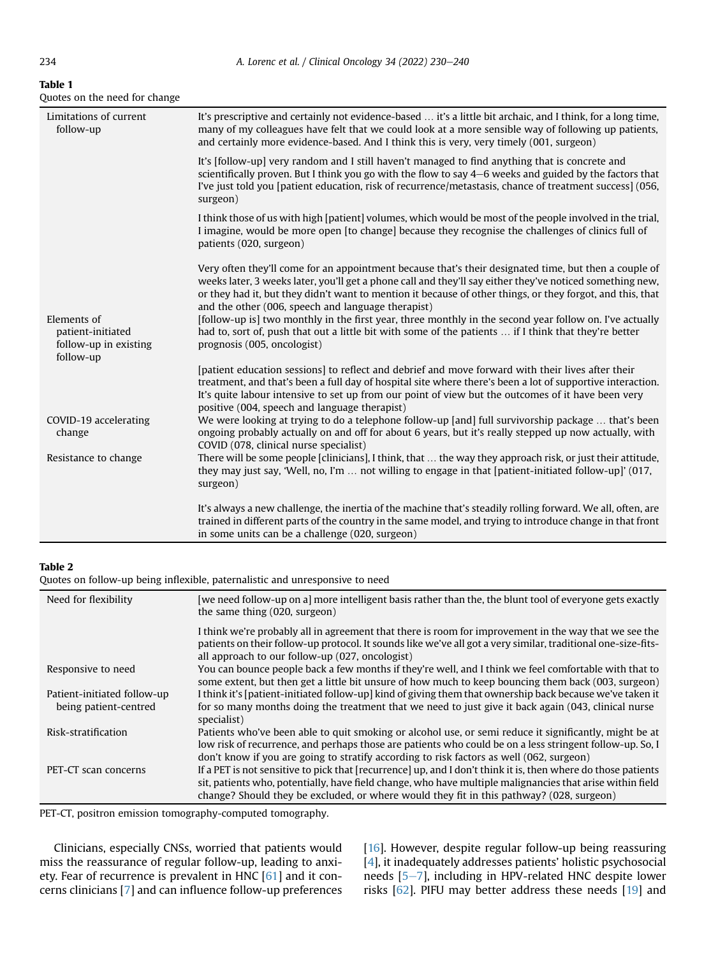<span id="page-5-0"></span>

| Table 1                       |  |  |
|-------------------------------|--|--|
| Quotes on the need for change |  |  |

| Limitations of current<br>follow-up                                    | It's prescriptive and certainly not evidence-based  it's a little bit archaic, and I think, for a long time,<br>many of my colleagues have felt that we could look at a more sensible way of following up patients,<br>and certainly more evidence-based. And I think this is very, very timely (001, surgeon)                                                                         |
|------------------------------------------------------------------------|----------------------------------------------------------------------------------------------------------------------------------------------------------------------------------------------------------------------------------------------------------------------------------------------------------------------------------------------------------------------------------------|
|                                                                        | It's [follow-up] very random and I still haven't managed to find anything that is concrete and<br>scientifically proven. But I think you go with the flow to say 4–6 weeks and guided by the factors that<br>I've just told you [patient education, risk of recurrence/metastasis, chance of treatment success] (056,<br>surgeon)                                                      |
|                                                                        | I think those of us with high [patient] volumes, which would be most of the people involved in the trial,<br>I imagine, would be more open [to change] because they recognise the challenges of clinics full of<br>patients (020, surgeon)                                                                                                                                             |
|                                                                        | Very often they'll come for an appointment because that's their designated time, but then a couple of<br>weeks later, 3 weeks later, you'll get a phone call and they'll say either they've noticed something new,<br>or they had it, but they didn't want to mention it because of other things, or they forgot, and this, that<br>and the other (006, speech and language therapist) |
| Elements of<br>patient-initiated<br>follow-up in existing<br>follow-up | [follow-up is] two monthly in the first year, three monthly in the second year follow on. I've actually<br>had to, sort of, push that out a little bit with some of the patients  if I think that they're better<br>prognosis (005, oncologist)                                                                                                                                        |
|                                                                        | [patient education sessions] to reflect and debrief and move forward with their lives after their<br>treatment, and that's been a full day of hospital site where there's been a lot of supportive interaction.<br>It's quite labour intensive to set up from our point of view but the outcomes of it have been very<br>positive (004, speech and language therapist)                 |
| COVID-19 accelerating<br>change                                        | We were looking at trying to do a telephone follow-up [and] full survivorship package  that's been<br>ongoing probably actually on and off for about 6 years, but it's really stepped up now actually, with<br>COVID (078, clinical nurse specialist)                                                                                                                                  |
| Resistance to change                                                   | There will be some people [clinicians], I think, that  the way they approach risk, or just their attitude,<br>they may just say, 'Well, no, I'm  not willing to engage in that [patient-initiated follow-up]' (017,<br>surgeon)                                                                                                                                                        |
|                                                                        | It's always a new challenge, the inertia of the machine that's steadily rolling forward. We all, often, are<br>trained in different parts of the country in the same model, and trying to introduce change in that front<br>in some units can be a challenge (020, surgeon)                                                                                                            |

#### <span id="page-5-1"></span>Table 2

Quotes on follow-up being inflexible, paternalistic and unresponsive to need

| Need for flexibility        | [we need follow-up on a] more intelligent basis rather than the, the blunt tool of everyone gets exactly<br>the same thing (020, surgeon)                                                                                                                                 |
|-----------------------------|---------------------------------------------------------------------------------------------------------------------------------------------------------------------------------------------------------------------------------------------------------------------------|
|                             | I think we're probably all in agreement that there is room for improvement in the way that we see the<br>patients on their follow-up protocol. It sounds like we've all got a very similar, traditional one-size-fits-<br>all approach to our follow-up (027, oncologist) |
| Responsive to need          | You can bounce people back a few months if they're well, and I think we feel comfortable with that to<br>some extent, but then get a little bit unsure of how much to keep bouncing them back (003, surgeon)                                                              |
| Patient-initiated follow-up | I think it's [patient-initiated follow-up] kind of giving them that ownership back because we've taken it                                                                                                                                                                 |
| being patient-centred       | for so many months doing the treatment that we need to just give it back again (043, clinical nurse<br>specialist)                                                                                                                                                        |
| Risk-stratification         | Patients who've been able to quit smoking or alcohol use, or semi reduce it significantly, might be at                                                                                                                                                                    |
|                             | low risk of recurrence, and perhaps those are patients who could be on a less stringent follow-up. So, I                                                                                                                                                                  |
|                             | don't know if you are going to stratify according to risk factors as well (062, surgeon)                                                                                                                                                                                  |
| PET-CT scan concerns        | If a PET is not sensitive to pick that [recurrence] up, and I don't think it is, then where do those patients                                                                                                                                                             |
|                             | sit, patients who, potentially, have field change, who have multiple malignancies that arise within field                                                                                                                                                                 |
|                             | change? Should they be excluded, or where would they fit in this pathway? (028, surgeon)                                                                                                                                                                                  |

PET-CT, positron emission tomography-computed tomography.

Clinicians, especially CNSs, worried that patients would miss the reassurance of regular follow-up, leading to anxiety. Fear of recurrence is prevalent in HNC [\[61\]](#page-10-18) and it concerns clinicians [\[7](#page-8-14)] and can influence follow-up preferences [\[16](#page-8-10)]. However, despite regular follow-up being reassuring [\[4](#page-8-3)], it inadequately addresses patients' holistic psychosocial needs  $[5-7]$  $[5-7]$  $[5-7]$  $[5-7]$  $[5-7]$ , including in HPV-related HNC despite lower risks [\[62\]](#page-10-19). PIFU may better address these needs [[19\]](#page-9-2) and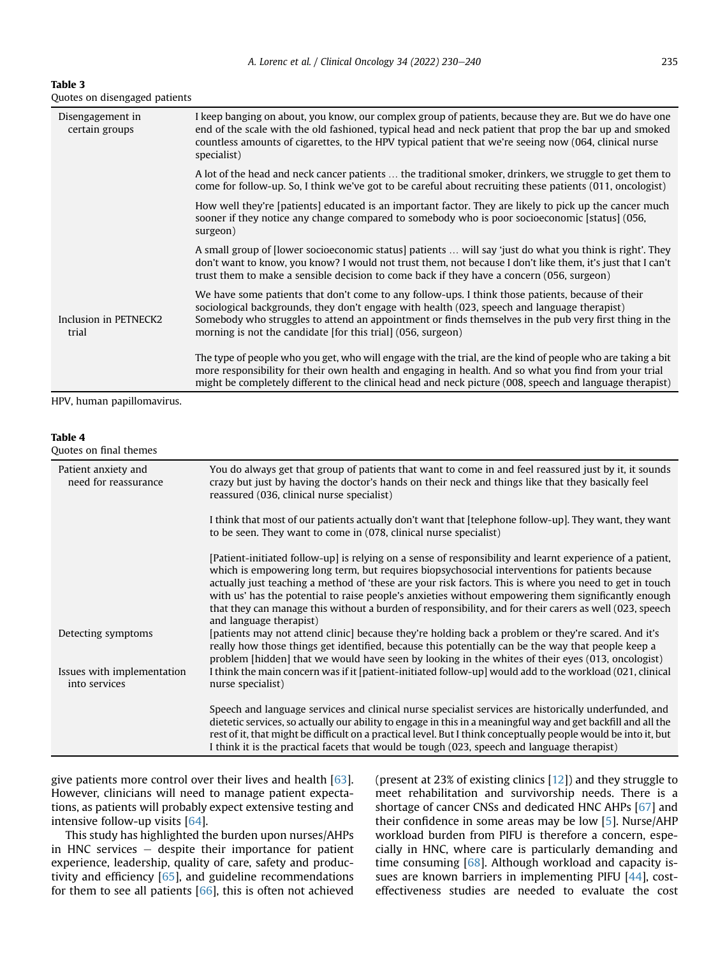<span id="page-6-0"></span>

| D<br>Π<br>ы<br>I |  |
|------------------|--|
|------------------|--|

Quotes on disengaged patients

| Disengagement in<br>certain groups | I keep banging on about, you know, our complex group of patients, because they are. But we do have one<br>end of the scale with the old fashioned, typical head and neck patient that prop the bar up and smoked<br>countless amounts of cigarettes, to the HPV typical patient that we're seeing now (064, clinical nurse<br>specialist)                                   |
|------------------------------------|-----------------------------------------------------------------------------------------------------------------------------------------------------------------------------------------------------------------------------------------------------------------------------------------------------------------------------------------------------------------------------|
|                                    | A lot of the head and neck cancer patients  the traditional smoker, drinkers, we struggle to get them to<br>come for follow-up. So, I think we've got to be careful about recruiting these patients (011, oncologist)                                                                                                                                                       |
|                                    | How well they're [patients] educated is an important factor. They are likely to pick up the cancer much<br>sooner if they notice any change compared to somebody who is poor socioeconomic [status] (056,<br>surgeon)                                                                                                                                                       |
|                                    | A small group of (lower socioeconomic status) patients  will say 'just do what you think is right'. They<br>don't want to know, you know? I would not trust them, not because I don't like them, it's just that I can't<br>trust them to make a sensible decision to come back if they have a concern (056, surgeon)                                                        |
| Inclusion in PETNECK2<br>trial     | We have some patients that don't come to any follow-ups. I think those patients, because of their<br>sociological backgrounds, they don't engage with health (023, speech and language therapist)<br>Somebody who struggles to attend an appointment or finds themselves in the pub very first thing in the<br>morning is not the candidate [for this trial] (056, surgeon) |
|                                    | The type of people who you get, who will engage with the trial, are the kind of people who are taking a bit<br>more responsibility for their own health and engaging in health. And so what you find from your trial<br>might be completely different to the clinical head and neck picture (008, speech and language therapist)                                            |
| HPV, human papillomavirus.         |                                                                                                                                                                                                                                                                                                                                                                             |

<span id="page-6-1"></span>

| <b>Table 4</b><br>Quotes on final themes    |                                                                                                                                                                                                                                                                                                                                                                                                                                                                                                                                                                     |
|---------------------------------------------|---------------------------------------------------------------------------------------------------------------------------------------------------------------------------------------------------------------------------------------------------------------------------------------------------------------------------------------------------------------------------------------------------------------------------------------------------------------------------------------------------------------------------------------------------------------------|
| Patient anxiety and<br>need for reassurance | You do always get that group of patients that want to come in and feel reassured just by it, it sounds<br>crazy but just by having the doctor's hands on their neck and things like that they basically feel<br>reassured (036, clinical nurse specialist)                                                                                                                                                                                                                                                                                                          |
|                                             | I think that most of our patients actually don't want that [telephone follow-up]. They want, they want<br>to be seen. They want to come in (078, clinical nurse specialist)                                                                                                                                                                                                                                                                                                                                                                                         |
|                                             | [Patient-initiated follow-up] is relying on a sense of responsibility and learnt experience of a patient,<br>which is empowering long term, but requires biopsychosocial interventions for patients because<br>actually just teaching a method of 'these are your risk factors. This is where you need to get in touch<br>with us' has the potential to raise people's anxieties without empowering them significantly enough<br>that they can manage this without a burden of responsibility, and for their carers as well (023, speech<br>and language therapist) |
| Detecting symptoms                          | [patients may not attend clinic] because they're holding back a problem or they're scared. And it's<br>really how those things get identified, because this potentially can be the way that people keep a<br>problem [hidden] that we would have seen by looking in the whites of their eyes (013, oncologist)                                                                                                                                                                                                                                                      |
| Issues with implementation<br>into services | I think the main concern was if it [patient-initiated follow-up] would add to the workload (021, clinical<br>nurse specialist)                                                                                                                                                                                                                                                                                                                                                                                                                                      |
|                                             | Speech and language services and clinical nurse specialist services are historically underfunded, and<br>dietetic services, so actually our ability to engage in this in a meaningful way and get backfill and all the<br>rest of it, that might be difficult on a practical level. But I think conceptually people would be into it, but<br>I think it is the practical facets that would be tough (023, speech and language therapist)                                                                                                                            |

give patients more control over their lives and health [\[63](#page-10-20)]. However, clinicians will need to manage patient expectations, as patients will probably expect extensive testing and intensive follow-up visits [\[64](#page-10-21)].

This study has highlighted the burden upon nurses/AHPs in HNC services  $-$  despite their importance for patient experience, leadership, quality of care, safety and productivity and efficiency [[65](#page-10-22)], and guideline recommendations for them to see all patients [\[66](#page-10-23)], this is often not achieved

(present at 23% of existing clinics [[12](#page-8-11)]) and they struggle to meet rehabilitation and survivorship needs. There is a shortage of cancer CNSs and dedicated HNC AHPs [[67\]](#page-10-24) and their confidence in some areas may be low [[5\]](#page-8-12). Nurse/AHP workload burden from PIFU is therefore a concern, especially in HNC, where care is particularly demanding and time consuming [\[68\]](#page-10-25). Although workload and capacity issues are known barriers in implementing PIFU [[44\]](#page-10-1), costeffectiveness studies are needed to evaluate the cost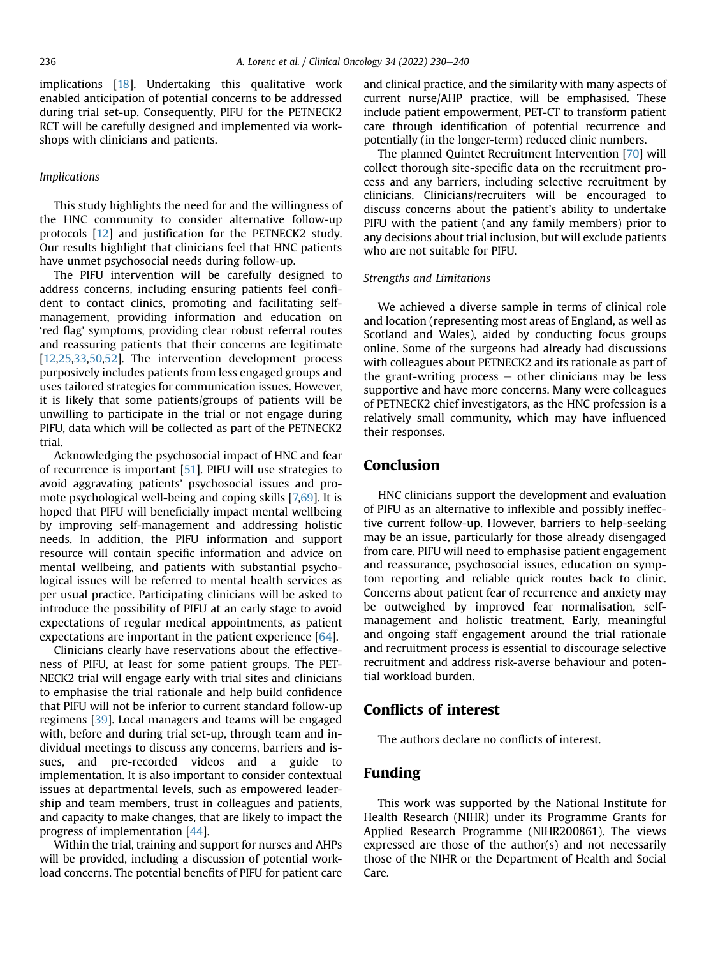implications [\[18](#page-9-1)]. Undertaking this qualitative work enabled anticipation of potential concerns to be addressed during trial set-up. Consequently, PIFU for the PETNECK2 RCT will be carefully designed and implemented via workshops with clinicians and patients.

#### Implications

This study highlights the need for and the willingness of the HNC community to consider alternative follow-up protocols [\[12](#page-8-11)] and justification for the PETNECK2 study. Our results highlight that clinicians feel that HNC patients have unmet psychosocial needs during follow-up.

The PIFU intervention will be carefully designed to address concerns, including ensuring patients feel confident to contact clinics, promoting and facilitating selfmanagement, providing information and education on 'red flag' symptoms, providing clear robust referral routes and reassuring patients that their concerns are legitimate [\[12](#page-8-11),[25](#page-9-8)[,33](#page-9-21)[,50,](#page-10-7)[52\]](#page-10-9). The intervention development process purposively includes patients from less engaged groups and uses tailored strategies for communication issues. However, it is likely that some patients/groups of patients will be unwilling to participate in the trial or not engage during PIFU, data which will be collected as part of the PETNECK2 trial.

Acknowledging the psychosocial impact of HNC and fear of recurrence is important [[51\]](#page-10-8). PIFU will use strategies to avoid aggravating patients' psychosocial issues and promote psychological well-being and coping skills [[7,](#page-8-14)[69](#page-11-0)]. It is hoped that PIFU will beneficially impact mental wellbeing by improving self-management and addressing holistic needs. In addition, the PIFU information and support resource will contain specific information and advice on mental wellbeing, and patients with substantial psychological issues will be referred to mental health services as per usual practice. Participating clinicians will be asked to introduce the possibility of PIFU at an early stage to avoid expectations of regular medical appointments, as patient expectations are important in the patient experience [[64](#page-10-21)].

Clinicians clearly have reservations about the effectiveness of PIFU, at least for some patient groups. The PET-NECK2 trial will engage early with trial sites and clinicians to emphasise the trial rationale and help build confidence that PIFU will not be inferior to current standard follow-up regimens [[39](#page-9-19)]. Local managers and teams will be engaged with, before and during trial set-up, through team and individual meetings to discuss any concerns, barriers and issues, and pre-recorded videos and a guide to implementation. It is also important to consider contextual issues at departmental levels, such as empowered leadership and team members, trust in colleagues and patients, and capacity to make changes, that are likely to impact the progress of implementation [[44](#page-10-1)].

Within the trial, training and support for nurses and AHPs will be provided, including a discussion of potential workload concerns. The potential benefits of PIFU for patient care and clinical practice, and the similarity with many aspects of current nurse/AHP practice, will be emphasised. These include patient empowerment, PET-CT to transform patient care through identification of potential recurrence and potentially (in the longer-term) reduced clinic numbers.

The planned Quintet Recruitment Intervention [[70](#page-11-1)] will collect thorough site-specific data on the recruitment process and any barriers, including selective recruitment by clinicians. Clinicians/recruiters will be encouraged to discuss concerns about the patient's ability to undertake PIFU with the patient (and any family members) prior to any decisions about trial inclusion, but will exclude patients who are not suitable for PIFU.

#### Strengths and Limitations

We achieved a diverse sample in terms of clinical role and location (representing most areas of England, as well as Scotland and Wales), aided by conducting focus groups online. Some of the surgeons had already had discussions with colleagues about PETNECK2 and its rationale as part of the grant-writing process  $-$  other clinicians may be less supportive and have more concerns. Many were colleagues of PETNECK2 chief investigators, as the HNC profession is a relatively small community, which may have influenced their responses.

#### Conclusion

HNC clinicians support the development and evaluation of PIFU as an alternative to inflexible and possibly ineffective current follow-up. However, barriers to help-seeking may be an issue, particularly for those already disengaged from care. PIFU will need to emphasise patient engagement and reassurance, psychosocial issues, education on symptom reporting and reliable quick routes back to clinic. Concerns about patient fear of recurrence and anxiety may be outweighed by improved fear normalisation, selfmanagement and holistic treatment. Early, meaningful and ongoing staff engagement around the trial rationale and recruitment process is essential to discourage selective recruitment and address risk-averse behaviour and potential workload burden.

#### Conflicts of interest

The authors declare no conflicts of interest.

#### Funding

This work was supported by the National Institute for Health Research (NIHR) under its Programme Grants for Applied Research Programme (NIHR200861). The views expressed are those of the author(s) and not necessarily those of the NIHR or the Department of Health and Social Care.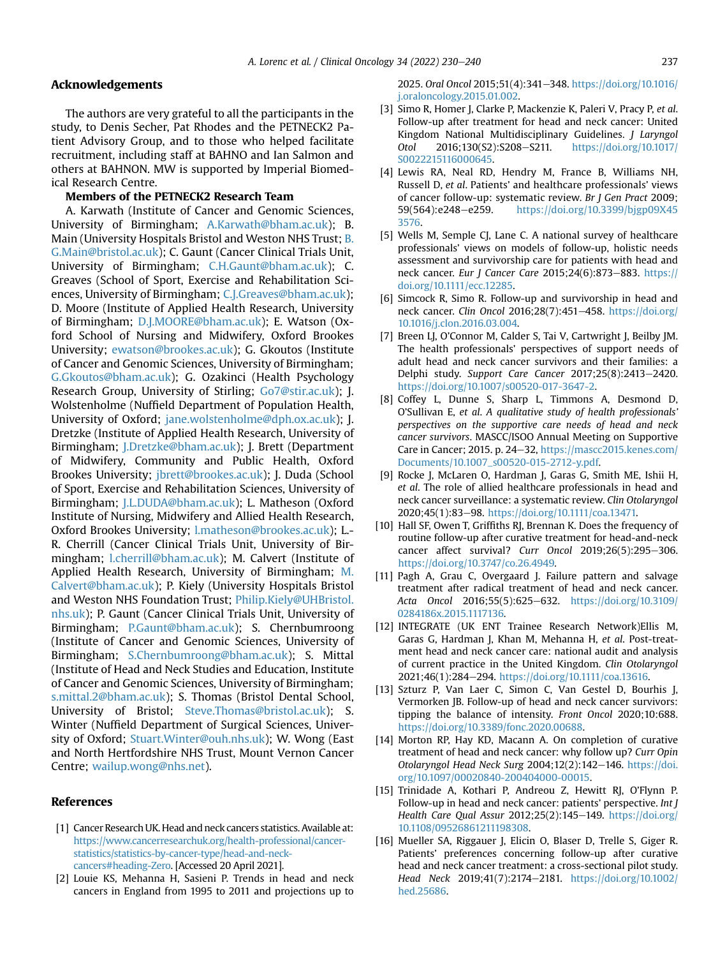#### Acknowledgements

The authors are very grateful to all the participants in the study, to Denis Secher, Pat Rhodes and the PETNECK2 Patient Advisory Group, and to those who helped facilitate recruitment, including staff at BAHNO and Ian Salmon and others at BAHNON. MW is supported by Imperial Biomedical Research Centre.

#### Members of the PETNECK2 Research Team

A. Karwath (Institute of Cancer and Genomic Sciences, University of Birmingham; [A.Karwath@bham.ac.uk](mailto:A.Karwath@bham.ac.uk)); B. Main (University Hospitals Bristol and Weston NHS Trust; [B.](mailto:B.G.Main@bristol.ac.uk) [G.Main@bristol.ac.uk](mailto:B.G.Main@bristol.ac.uk)); C. Gaunt (Cancer Clinical Trials Unit, University of Birmingham; [C.H.Gaunt@bham.ac.uk\)](mailto:C.H.Gaunt@bham.ac.uk); C. Greaves (School of Sport, Exercise and Rehabilitation Sciences, University of Birmingham; [C.J.Greaves@bham.ac.uk\)](mailto:C.J.Greaves@bham.ac.uk); D. Moore (Institute of Applied Health Research, University of Birmingham; [D.J.MOORE@bham.ac.uk\)](mailto:D.J.MOORE@bham.ac.uk); E. Watson (Oxford School of Nursing and Midwifery, Oxford Brookes University; [ewatson@brookes.ac.uk](mailto:ewatson@brookes.ac.uk)); G. Gkoutos (Institute of Cancer and Genomic Sciences, University of Birmingham; [G.Gkoutos@bham.ac.uk\)](mailto:G.Gkoutos@bham.ac.uk); G. Ozakinci (Health Psychology Research Group, University of Stirling; [Go7@stir.ac.uk\)](mailto:Go7@stir.ac.uk); J. Wolstenholme (Nuffield Department of Population Health, University of Oxford; [jane.wolstenholme@dph.ox.ac.uk](mailto:jane.wolstenholme@dph.ox.ac.uk)); J. Dretzke (Institute of Applied Health Research, University of Birmingham; [J.Dretzke@bham.ac.uk\)](mailto:J.Dretzke@bham.ac.uk); J. Brett (Department of Midwifery, Community and Public Health, Oxford Brookes University; [jbrett@brookes.ac.uk](mailto:jbrett@brookes.ac.uk)); J. Duda (School of Sport, Exercise and Rehabilitation Sciences, University of Birmingham; [J.L.DUDA@bham.ac.uk](mailto:J.L.DUDA@bham.ac.uk)); L. Matheson (Oxford Institute of Nursing, Midwifery and Allied Health Research, Oxford Brookes University; [l.matheson@brookes.ac.uk](mailto:l.matheson@brookes.ac.uk)); L.- R. Cherrill (Cancer Clinical Trials Unit, University of Birmingham; [l.cherrill@bham.ac.uk\)](mailto:l.cherrill@bham.ac.uk); M. Calvert (Institute of Applied Health Research, University of Birmingham; [M.](mailto:M.Calvert@bham.ac.uk) [Calvert@bham.ac.uk](mailto:M.Calvert@bham.ac.uk)); P. Kiely (University Hospitals Bristol and Weston NHS Foundation Trust; [Philip.Kiely@UHBristol.](mailto:Philip.Kiely@UHBristol.nhs.uk) [nhs.uk\)](mailto:Philip.Kiely@UHBristol.nhs.uk); P. Gaunt (Cancer Clinical Trials Unit, University of Birmingham; [P.Gaunt@bham.ac.uk\)](mailto:P.Gaunt@bham.ac.uk); S. Chernbumroong (Institute of Cancer and Genomic Sciences, University of Birmingham; [S.Chernbumroong@bham.ac.uk\)](mailto:S.Chernbumroong@bham.ac.uk); S. Mittal (Institute of Head and Neck Studies and Education, Institute of Cancer and Genomic Sciences, University of Birmingham; [s.mittal.2@bham.ac.uk](mailto:s.mittal.2@bham.ac.uk)); S. Thomas (Bristol Dental School, University of Bristol; [Steve.Thomas@bristol.ac.uk](mailto:Steve.Thomas@bristol.ac.uk)); S. Winter (Nuffield Department of Surgical Sciences, University of Oxford; [Stuart.Winter@ouh.nhs.uk\)](mailto:Stuart.Winter@ouh.nhs.uk); W. Wong (East and North Hertfordshire NHS Trust, Mount Vernon Cancer Centre; [wailup.wong@nhs.net](mailto:wailup.wong@nhs.net)).

#### References

- <span id="page-8-0"></span>[1] Cancer Research UK. Head and neck cancers statistics. Available at: [https://www.cancerresearchuk.org/health-professional/cancer](https://www.cancerresearchuk.org/health-professional/cancer-statistics/statistics-by-cancer-type/head-and-neck-cancers#heading-Zero)[statistics/statistics-by-cancer-type/head-and-neck](https://www.cancerresearchuk.org/health-professional/cancer-statistics/statistics-by-cancer-type/head-and-neck-cancers#heading-Zero)[cancers#heading-Zero.](https://www.cancerresearchuk.org/health-professional/cancer-statistics/statistics-by-cancer-type/head-and-neck-cancers#heading-Zero) [Accessed 20 April 2021].
- <span id="page-8-1"></span>[2] Louie KS, Mehanna H, Sasieni P. Trends in head and neck cancers in England from 1995 to 2011 and projections up to

2025. Oral Oncol 2015;51(4):341-348. [https://doi.org/10.1016/](https://doi.org/10.1016/j.oraloncology.2015.01.002) [j.oraloncology.2015.01.002.](https://doi.org/10.1016/j.oraloncology.2015.01.002)

- <span id="page-8-2"></span>[3] Simo R, Homer J, Clarke P, Mackenzie K, Paleri V, Pracy P, et al. Follow-up after treatment for head and neck cancer: United Kingdom National Multidisciplinary Guidelines. J Laryngol Otol 2016;130(S2):S208-S211. [https://doi.org/10.1017/](https://doi.org/10.1017/S0022215116000645) [S0022215116000645](https://doi.org/10.1017/S0022215116000645).
- <span id="page-8-3"></span>[4] Lewis RA, Neal RD, Hendry M, France B, Williams NH, Russell D, et al. Patients' and healthcare professionals' views of cancer follow-up: systematic review. Br J Gen Pract 2009; 59(564):e248-e259. [https://doi.org/10.3399/bjgp09X45](https://doi.org/10.3399/bjgp09X45<?show [?tjl=20mm]&tjlpc;[?tjl]?>3576) [3576.](https://doi.org/10.3399/bjgp09X45<?show [?tjl=20mm]&tjlpc;[?tjl]?>3576)
- <span id="page-8-12"></span>[5] Wells M, Semple CJ, Lane C. A national survey of healthcare professionals' views on models of follow-up, holistic needs assessment and survivorship care for patients with head and neck cancer. Eur J Cancer Care 2015;24(6):873-883. [https://](https://doi.org/10.1111/ecc.12285) [doi.org/10.1111/ecc.12285.](https://doi.org/10.1111/ecc.12285)
- <span id="page-8-4"></span>[6] Simcock R, Simo R. Follow-up and survivorship in head and neck cancer. Clin Oncol 2016;28(7):451-458. [https://doi.org/](https://doi.org/10.1016/j.clon.2016.03.004) [10.1016/j.clon.2016.03.004](https://doi.org/10.1016/j.clon.2016.03.004).
- <span id="page-8-14"></span>[7] Breen LJ, O'Connor M, Calder S, Tai V, Cartwright J, Beilby JM. The health professionals' perspectives of support needs of adult head and neck cancer survivors and their families: a Delphi study. Support Care Cancer 2017;25(8):2413-2420. <https://doi.org/10.1007/s00520-017-3647-2>.
- <span id="page-8-5"></span>[8] Coffey L, Dunne S, Sharp L, Timmons A, Desmond D, O'Sullivan E, et al. A qualitative study of health professionals' perspectives on the supportive care needs of head and neck cancer survivors. MASCC/ISOO Annual Meeting on Supportive Care in Cancer; 2015. p. 24–32, [https://mascc2015.kenes.com/](https://mascc2015.kenes.com/Documents/10.1007_s00520-015-2712-y.pdf) [Documents/10.1007\\_s00520-015-2712-y.pdf.](https://mascc2015.kenes.com/Documents/10.1007_s00520-015-2712-y.pdf)
- <span id="page-8-6"></span>[9] Rocke J, McLaren O, Hardman J, Garas G, Smith ME, Ishii H, et al. The role of allied healthcare professionals in head and neck cancer surveillance: a systematic review. Clin Otolaryngol 2020;45(1):83e98. [https://doi.org/10.1111/coa.13471.](https://doi.org/10.1111/coa.13471)
- <span id="page-8-7"></span>[10] Hall SF, Owen T, Griffiths RJ, Brennan K, Does the frequency of routine follow-up after curative treatment for head-and-neck cancer affect survival? Curr Oncol  $2019;26(5):295-306$ . <https://doi.org/10.3747/co.26.4949>.
- [11] Pagh A, Grau C, Overgaard J. Failure pattern and salvage treatment after radical treatment of head and neck cancer. Acta Oncol 2016;55(5):625-632. [https://doi.org/10.3109/](https://doi.org/10.3109/0284186x.2015.1117136) [0284186x.2015.1117136.](https://doi.org/10.3109/0284186x.2015.1117136)
- <span id="page-8-11"></span>[12] INTEGRATE (UK ENT Trainee Research Network)Ellis M, Garas G, Hardman J, Khan M, Mehanna H, et al. Post-treatment head and neck cancer care: national audit and analysis of current practice in the United Kingdom. Clin Otolaryngol 2021;46(1):284-294. [https://doi.org/10.1111/coa.13616.](https://doi.org/10.1111/coa.13616)
- <span id="page-8-13"></span>[13] Szturz P, Van Laer C, Simon C, Van Gestel D, Bourhis J, Vermorken JB. Follow-up of head and neck cancer survivors: tipping the balance of intensity. Front Oncol 2020;10:688. <https://doi.org/10.3389/fonc.2020.00688>.
- <span id="page-8-8"></span>[14] Morton RP, Hay KD, Macann A. On completion of curative treatment of head and neck cancer: why follow up? Curr Opin Otolaryngol Head Neck Surg 2004;12(2):142-146. [https://doi.](https://doi.org/10.1097/00020840-200404000-00015) [org/10.1097/00020840-200404000-00015](https://doi.org/10.1097/00020840-200404000-00015).
- <span id="page-8-9"></span>[15] Trinidade A, Kothari P, Andreou Z, Hewitt RJ, O'Flynn P. Follow-up in head and neck cancer: patients' perspective. Int J Health Care Qual Assur 2012;25(2):145-149. [https://doi.org/](https://doi.org/10.1108/09526861211198308) [10.1108/09526861211198308.](https://doi.org/10.1108/09526861211198308)
- <span id="page-8-10"></span>[16] Mueller SA, Riggauer J, Elicin O, Blaser D, Trelle S, Giger R. Patients' preferences concerning follow-up after curative head and neck cancer treatment: a cross-sectional pilot study. Head Neck 2019;41(7):2174-2181. [https://doi.org/10.1002/](https://doi.org/10.1002/hed.25686) [hed.25686](https://doi.org/10.1002/hed.25686).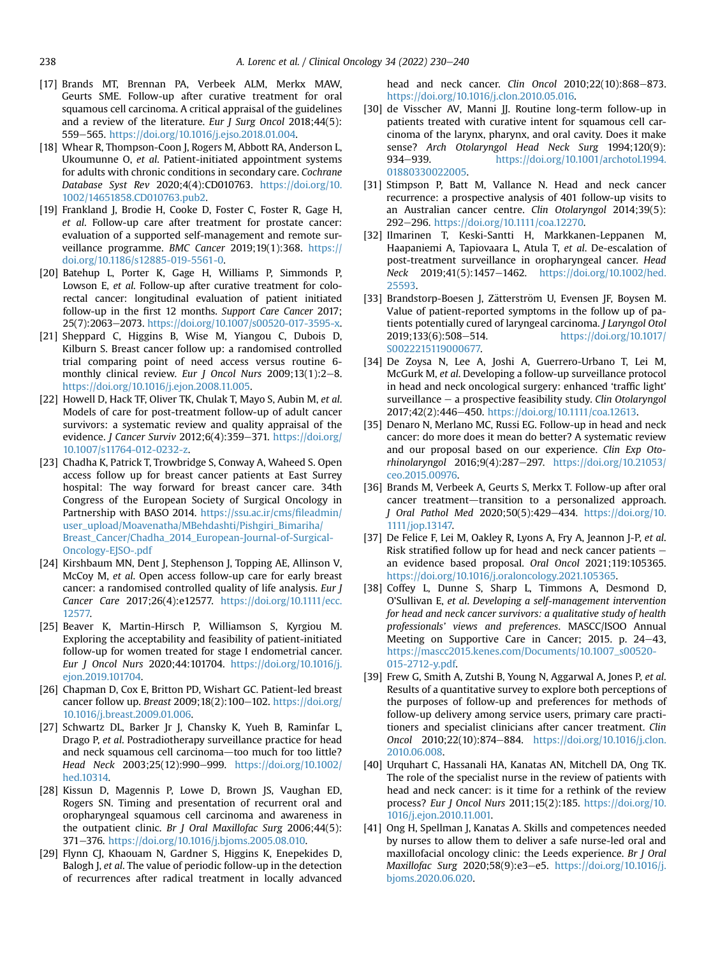- <span id="page-9-0"></span>[17] Brands MT, Brennan PA, Verbeek ALM, Merkx MAW, Geurts SME. Follow-up after curative treatment for oral squamous cell carcinoma. A critical appraisal of the guidelines and a review of the literature. Eur J Surg Oncol 2018;44(5): 559-565. <https://doi.org/10.1016/j.ejso.2018.01.004>.
- <span id="page-9-1"></span>[18] Whear R, Thompson-Coon J, Rogers M, Abbott RA, Anderson L, Ukoumunne O, et al. Patient-initiated appointment systems for adults with chronic conditions in secondary care. Cochrane Database Syst Rev 2020;4(4):CD010763. [https://doi.org/10.](https://doi.org/10.1002/14651858.CD010763.pub2) [1002/14651858.CD010763.pub2.](https://doi.org/10.1002/14651858.CD010763.pub2)
- <span id="page-9-2"></span>[19] Frankland J, Brodie H, Cooke D, Foster C, Foster R, Gage H, et al. Follow-up care after treatment for prostate cancer: evaluation of a supported self-management and remote surveillance programme. BMC Cancer 2019;19(1):368. [https://](https://doi.org/10.1186/s12885-019-5561-0) [doi.org/10.1186/s12885-019-5561-0](https://doi.org/10.1186/s12885-019-5561-0).
- <span id="page-9-3"></span>[20] Batehup L, Porter K, Gage H, Williams P, Simmonds P, Lowson E, et al. Follow-up after curative treatment for colorectal cancer: longitudinal evaluation of patient initiated follow-up in the first 12 months. Support Care Cancer 2017; 25(7):2063-2073. [https://doi.org/10.1007/s00520-017-3595-x.](https://doi.org/10.1007/s00520-017-<?thyc=10?>3595-x<?thyc?>)
- <span id="page-9-4"></span>[21] Sheppard C, Higgins B, Wise M, Yiangou C, Dubois D, Kilburn S. Breast cancer follow up: a randomised controlled trial comparing point of need access versus routine 6 monthly clinical review. Eur J Oncol Nurs  $2009;13(1):2-8$ . <https://doi.org/10.1016/j.ejon.2008.11.005>.
- <span id="page-9-5"></span>[22] Howell D, Hack TF, Oliver TK, Chulak T, Mayo S, Aubin M, et al. Models of care for post-treatment follow-up of adult cancer survivors: a systematic review and quality appraisal of the evidence. J Cancer Surviv 2012; $6(4)$ :359-371. [https://doi.org/](https://doi.org/10.1007/s11764-012-<?thyc=10?>0232-z<?thyc?>) [10.1007/s11764-012-0232-z](https://doi.org/10.1007/s11764-012-<?thyc=10?>0232-z<?thyc?>).
- <span id="page-9-6"></span>[23] Chadha K, Patrick T, Trowbridge S, Conway A, Waheed S. Open access follow up for breast cancer patients at East Surrey hospital: The way forward for breast cancer care. 34th Congress of the European Society of Surgical Oncology in Partnership with BASO 2014. [https://ssu.ac.ir/cms/](https://ssu.ac.ir/cms/fileadmin/user_upload/Moavenatha/MBehdashti/Pishgiri_Bimariha/Breast_Cancer/Chadha_2014_European-Journal-of-Surgical-Oncology-EJSO-.pdf)fileadmin/ [user\\_upload/Moavenatha/MBehdashti/Pishgiri\\_Bimariha/](https://ssu.ac.ir/cms/fileadmin/user_upload/Moavenatha/MBehdashti/Pishgiri_Bimariha/Breast_Cancer/Chadha_2014_European-Journal-of-Surgical-Oncology-EJSO-.pdf) [Breast\\_Cancer/Chadha\\_2014\\_European-Journal-of-Surgical-](https://ssu.ac.ir/cms/fileadmin/user_upload/Moavenatha/MBehdashti/Pishgiri_Bimariha/Breast_Cancer/Chadha_2014_European-Journal-of-Surgical-Oncology-EJSO-.pdf)[Oncology-EJSO-.pdf](https://ssu.ac.ir/cms/fileadmin/user_upload/Moavenatha/MBehdashti/Pishgiri_Bimariha/Breast_Cancer/Chadha_2014_European-Journal-of-Surgical-Oncology-EJSO-.pdf)
- <span id="page-9-7"></span>[24] Kirshbaum MN, Dent J, Stephenson J, Topping AE, Allinson V, McCoy M, et al. Open access follow-up care for early breast cancer: a randomised controlled quality of life analysis. Eur J Cancer Care 2017;26(4):e12577. [https://doi.org/10.1111/ecc.](https://doi.org/10.1111/ecc.12577) [12577.](https://doi.org/10.1111/ecc.12577)
- <span id="page-9-8"></span>[25] Beaver K, Martin-Hirsch P, Williamson S, Kyrgiou M. Exploring the acceptability and feasibility of patient-initiated follow-up for women treated for stage I endometrial cancer. Eur J Oncol Nurs 2020;44:101704. [https://doi.org/10.1016/j.](https://doi.org/10.1016/j.ejon.2019.101704) [ejon.2019.101704.](https://doi.org/10.1016/j.ejon.2019.101704)
- <span id="page-9-9"></span>[26] Chapman D, Cox E, Britton PD, Wishart GC. Patient-led breast cancer follow up. Breast 2009;18(2):100-102. [https://doi.org/](https://doi.org/10.1016/j.breast.2009.01.006) [10.1016/j.breast.2009.01.006.](https://doi.org/10.1016/j.breast.2009.01.006)
- <span id="page-9-10"></span>[27] Schwartz DL, Barker Jr J, Chansky K, Yueh B, Raminfar L, Drago P, et al. Postradiotherapy surveillance practice for head and neck squamous cell carcinoma-too much for too little? Head Neck 2003;25(12):990-999. [https://doi.org/10.1002/](https://doi.org/10.1002/hed.10314) [hed.10314.](https://doi.org/10.1002/hed.10314)
- [28] Kissun D, Magennis P, Lowe D, Brown JS, Vaughan ED, Rogers SN. Timing and presentation of recurrent oral and oropharyngeal squamous cell carcinoma and awareness in the outpatient clinic. Br J Oral Maxillofac Surg 2006;44(5): 371-376. <https://doi.org/10.1016/j.bjoms.2005.08.010>.
- <span id="page-9-12"></span>[29] Flynn CJ, Khaouam N, Gardner S, Higgins K, Enepekides D, Balogh J, et al. The value of periodic follow-up in the detection of recurrences after radical treatment in locally advanced

head and neck cancer. Clin Oncol  $2010;22(10):868-873$ . <https://doi.org/10.1016/j.clon.2010.05.016>.

- <span id="page-9-11"></span>[30] de Visscher AV, Manni JJ. Routine long-term follow-up in patients treated with curative intent for squamous cell carcinoma of the larynx, pharynx, and oral cavity. Does it make sense? Arch Otolaryngol Head Neck Surg 1994;120(9): 934–939. [https://doi.org/10.1001/archotol.1994.](https://doi.org/10.1001/archotol.1994.01880330022005) [01880330022005](https://doi.org/10.1001/archotol.1994.01880330022005).
- <span id="page-9-13"></span>[31] Stimpson P, Batt M, Vallance N. Head and neck cancer recurrence: a prospective analysis of 401 follow-up visits to an Australian cancer centre. Clin Otolaryngol 2014;39(5): 292-296. <https://doi.org/10.1111/coa.12270>.
- [32] Ilmarinen T, Keski-Santti H, Markkanen-Leppanen M, Haapaniemi A, Tapiovaara L, Atula T, et al. De-escalation of post-treatment surveillance in oropharyngeal cancer. Head Neck 2019;41(5):1457-1462. [https://doi.org/10.1002/hed.](https://doi.org/10.1002/hed.25593) [25593.](https://doi.org/10.1002/hed.25593)
- <span id="page-9-21"></span>[33] Brandstorp-Boesen J, Zätterström U, Evensen JF, Boysen M. Value of patient-reported symptoms in the follow up of patients potentially cured of laryngeal carcinoma. J Laryngol Otol 2019;133(6):508–514. [https://doi.org/10.1017/](https://doi.org/10.1017/S0022215119000677) [S0022215119000677.](https://doi.org/10.1017/S0022215119000677)
- <span id="page-9-14"></span>[34] De Zoysa N, Lee A, Joshi A, Guerrero-Urbano T, Lei M, McGurk M, et al. Developing a follow-up surveillance protocol in head and neck oncological surgery: enhanced 'traffic light' surveillance - a prospective feasibility study. Clin Otolaryngol 2017;42(2):446-450. <https://doi.org/10.1111/coa.12613>.
- <span id="page-9-15"></span>[35] Denaro N, Merlano MC, Russi EG. Follow-up in head and neck cancer: do more does it mean do better? A systematic review and our proposal based on our experience. Clin Exp Otorhinolaryngol 2016;9(4):287-297. [https://doi.org/10.21053/](https://doi.org/10.21053/ceo.2015.00976) [ceo.2015.00976](https://doi.org/10.21053/ceo.2015.00976).
- <span id="page-9-16"></span>[36] Brands M, Verbeek A, Geurts S, Merkx T. Follow-up after oral cancer treatment-transition to a personalized approach. *J* Oral Pathol Med 2020;50(5):429-434. [https://doi.org/10.](https://doi.org/10.1111/jop.13147) [1111/jop.13147.](https://doi.org/10.1111/jop.13147)
- <span id="page-9-17"></span>[37] De Felice F, Lei M, Oakley R, Lyons A, Fry A, Jeannon J-P, et al. Risk stratified follow up for head and neck cancer patients  $$ an evidence based proposal. Oral Oncol 2021;119:105365. [https://doi.org/10.1016/j.oraloncology.2021.105365.](https://doi.org/10.1016/j.oraloncology.2021.105365)
- <span id="page-9-18"></span>[38] Coffey L, Dunne S, Sharp L, Timmons A, Desmond D, O'Sullivan E, et al. Developing a self-management intervention for head and neck cancer survivors: a qualitative study of health professionals' views and preferences. MASCC/ISOO Annual Meeting on Supportive Care in Cancer; 2015. p. 24-43, [https://mascc2015.kenes.com/Documents/10.1007\\_s00520-](https://mascc2015.kenes.com/Documents/10.1007_s00520-015-2712-y.pdf) [015-2712-y.pdf](https://mascc2015.kenes.com/Documents/10.1007_s00520-015-2712-y.pdf).
- <span id="page-9-19"></span>[39] Frew G, Smith A, Zutshi B, Young N, Aggarwal A, Jones P, et al. Results of a quantitative survey to explore both perceptions of the purposes of follow-up and preferences for methods of follow-up delivery among service users, primary care practitioners and specialist clinicians after cancer treatment. Clin Oncol 2010;22(10):874-884. [https://doi.org/10.1016/j.clon.](https://doi.org/10.1016/j.clon.2010.06.008) [2010.06.008](https://doi.org/10.1016/j.clon.2010.06.008).
- <span id="page-9-20"></span>[40] Urquhart C, Hassanali HA, Kanatas AN, Mitchell DA, Ong TK. The role of the specialist nurse in the review of patients with head and neck cancer: is it time for a rethink of the review process? Eur J Oncol Nurs 2011;15(2):185. [https://doi.org/10.](https://doi.org/10.1016/j.ejon.2010.11.001) [1016/j.ejon.2010.11.001.](https://doi.org/10.1016/j.ejon.2010.11.001)
- [41] Ong H, Spellman J, Kanatas A. Skills and competences needed by nurses to allow them to deliver a safe nurse-led oral and maxillofacial oncology clinic: the Leeds experience. Br J Oral Maxillofac Surg 2020;58(9):e3-e5. [https://doi.org/10.1016/j.](https://doi.org/10.1016/j.bjoms.2020.06.020) [bjoms.2020.06.020](https://doi.org/10.1016/j.bjoms.2020.06.020).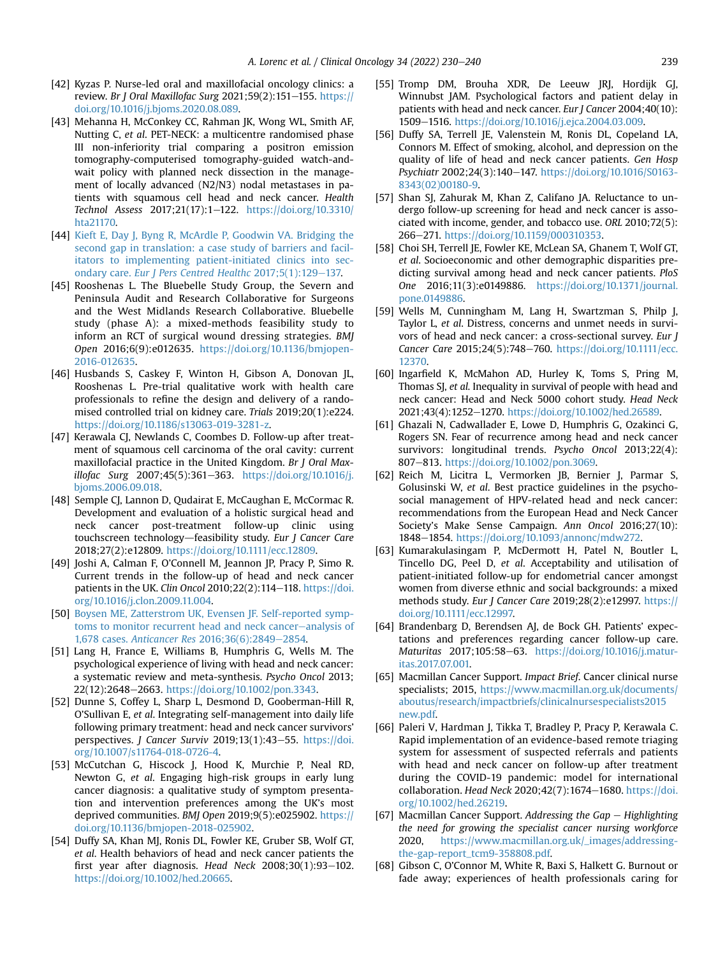- [42] Kvzas P. Nurse-led oral and maxillofacial oncology clinics: a review. Br J Oral Maxillofac Surg  $2021;59(2):151-155$ . [https://](https://doi.org/10.1016/j.bjoms.2020.08.089) [doi.org/10.1016/j.bjoms.2020.08.089.](https://doi.org/10.1016/j.bjoms.2020.08.089)
- <span id="page-10-0"></span>[43] Mehanna H, McConkey CC, Rahman JK, Wong WL, Smith AF, Nutting C, et al. PET-NECK: a multicentre randomised phase III non-inferiority trial comparing a positron emission tomography-computerised tomography-guided watch-andwait policy with planned neck dissection in the management of locally advanced (N2/N3) nodal metastases in patients with squamous cell head and neck cancer. Health Technol Assess 2017;21(17):1-122. [https://doi.org/10.3310/](https://doi.org/10.3310/hta21170) [hta21170.](https://doi.org/10.3310/hta21170)
- <span id="page-10-1"></span>[44] [Kieft E, Day J, Byng R, McArdle P, Goodwin VA. Bridging the](http://refhub.elsevier.com/S0936-6555(21)00429-5/sref44) [second gap in translation: a case study of barriers and facil](http://refhub.elsevier.com/S0936-6555(21)00429-5/sref44)[itators to implementing patient-initiated clinics into sec-](http://refhub.elsevier.com/S0936-6555(21)00429-5/sref44)ondary care. [Eur J Pers Centred Healthc](http://refhub.elsevier.com/S0936-6555(21)00429-5/sref44)  $2017;5(1):129-137$ .
- <span id="page-10-2"></span>[45] Rooshenas L. The Bluebelle Study Group, the Severn and Peninsula Audit and Research Collaborative for Surgeons and the West Midlands Research Collaborative. Bluebelle study (phase A): a mixed-methods feasibility study to inform an RCT of surgical wound dressing strategies. BMJ Open 2016;6(9):e012635. [https://doi.org/10.1136/bmjopen-](https://doi.org/10.1136/bmjopen-2016-012635)[2016-012635](https://doi.org/10.1136/bmjopen-2016-012635).
- <span id="page-10-3"></span>[46] Husbands S, Caskey F, Winton H, Gibson A, Donovan JL, Rooshenas L. Pre-trial qualitative work with health care professionals to refine the design and delivery of a randomised controlled trial on kidney care. Trials 2019;20(1):e224. [https://doi.org/10.1186/s13063-019-3281-z](https://doi.org/10.1186/s13063-019-<?thyc=10?>3281-z<?thyc?>).
- <span id="page-10-4"></span>[47] Kerawala CJ, Newlands C, Coombes D, Follow-up after treatment of squamous cell carcinoma of the oral cavity: current maxillofacial practice in the United Kingdom. Br J Oral Maxillofac Surg 2007;45(5):361-363. [https://doi.org/10.1016/j.](https://doi.org/10.1016/j.bjoms.2006.09.018) [bjoms.2006.09.018](https://doi.org/10.1016/j.bjoms.2006.09.018).
- <span id="page-10-5"></span>[48] Semple CJ, Lannon D, Qudairat E, McCaughan E, McCormac R. Development and evaluation of a holistic surgical head and neck cancer post-treatment follow-up clinic using touchscreen technology—feasibility study. Eur J Cancer Care 2018;27(2):e12809. [https://doi.org/10.1111/ecc.12809.](https://doi.org/10.1111/ecc.12809)
- <span id="page-10-6"></span>[49] Joshi A, Calman F, O'Connell M, Jeannon JP, Pracy P, Simo R. Current trends in the follow-up of head and neck cancer patients in the UK. Clin Oncol 2010;22(2):114-118. [https://doi.](https://doi.org/10.1016/j.clon.2009.11.004) [org/10.1016/j.clon.2009.11.004](https://doi.org/10.1016/j.clon.2009.11.004).
- <span id="page-10-7"></span>[50] [Boysen ME, Zatterstrom UK, Evensen JF. Self-reported symp](http://refhub.elsevier.com/S0936-6555(21)00429-5/sref50)[toms to monitor recurrent head and neck cancer](http://refhub.elsevier.com/S0936-6555(21)00429-5/sref50)-[analysis of](http://refhub.elsevier.com/S0936-6555(21)00429-5/sref50) 1,678 cases. Anticancer Res [2016;36\(6\):2849](http://refhub.elsevier.com/S0936-6555(21)00429-5/sref50)-[2854.](http://refhub.elsevier.com/S0936-6555(21)00429-5/sref50)
- <span id="page-10-8"></span>[51] Lang H, France E, Williams B, Humphris G, Wells M. The psychological experience of living with head and neck cancer: a systematic review and meta-synthesis. Psycho Oncol 2013; 22(12):2648-2663. <https://doi.org/10.1002/pon.3343>.
- <span id="page-10-9"></span>[52] Dunne S, Coffey L, Sharp L, Desmond D, Gooberman-Hill R, O'Sullivan E, et al. Integrating self-management into daily life following primary treatment: head and neck cancer survivors' perspectives. J Cancer Surviv 2019;13(1):43-55. [https://doi.](https://doi.org/10.1007/s11764-018-0726-4) [org/10.1007/s11764-018-0726-4](https://doi.org/10.1007/s11764-018-0726-4).
- <span id="page-10-10"></span>[53] McCutchan G, Hiscock J, Hood K, Murchie P, Neal RD, Newton G, et al. Engaging high-risk groups in early lung cancer diagnosis: a qualitative study of symptom presentation and intervention preferences among the UK's most deprived communities. BMJ Open 2019;9(5):e025902. [https://](https://doi.org/10.1136/bmjopen-2018-025902) [doi.org/10.1136/bmjopen-2018-025902.](https://doi.org/10.1136/bmjopen-2018-025902)
- <span id="page-10-11"></span>[54] Duffy SA, Khan MJ, Ronis DL, Fowler KE, Gruber SB, Wolf GT, et al. Health behaviors of head and neck cancer patients the first year after diagnosis. Head Neck  $2008;30(1):93-102$ . [https://doi.org/10.1002/hed.20665.](https://doi.org/10.1002/hed.20665)
- <span id="page-10-12"></span>[55] Tromp DM, Brouha XDR, De Leeuw JRJ, Hordijk GJ, Winnubst JAM. Psychological factors and patient delay in patients with head and neck cancer. Eur J Cancer 2004;40(10): 1509-1516. [https://doi.org/10.1016/j.ejca.2004.03.009.](https://doi.org/10.1016/j.ejca.2004.03.009)
- <span id="page-10-13"></span>[56] Duffy SA, Terrell JE, Valenstein M, Ronis DL, Copeland LA, Connors M. Effect of smoking, alcohol, and depression on the quality of life of head and neck cancer patients. Gen Hosp Psychiatr 2002;24(3):140-147. [https://doi.org/10.1016/S0163-](https://doi.org/10.1016/S0163-8343(02)00180-9) [8343\(02\)00180-9.](https://doi.org/10.1016/S0163-8343(02)00180-9)
- <span id="page-10-14"></span>[57] Shan SJ, Zahurak M, Khan Z, Califano JA. Reluctance to undergo follow-up screening for head and neck cancer is associated with income, gender, and tobacco use. ORL 2010;72(5): 266-271. <https://doi.org/10.1159/000310353>.
- <span id="page-10-15"></span>[58] Choi SH, Terrell JE, Fowler KE, McLean SA, Ghanem T, Wolf GT, et al. Socioeconomic and other demographic disparities predicting survival among head and neck cancer patients. PloS One 2016;11(3):e0149886. [https://doi.org/10.1371/journal.](https://doi.org/10.1371/journal.pone.0149886) [pone.0149886](https://doi.org/10.1371/journal.pone.0149886).
- <span id="page-10-16"></span>[59] Wells M, Cunningham M, Lang H, Swartzman S, Philp J, Taylor L, et al. Distress, concerns and unmet needs in survivors of head and neck cancer: a cross-sectional survey. Eur J Cancer Care 2015;24(5):748-760. [https://doi.org/10.1111/ecc.](https://doi.org/10.1111/ecc.12370) [12370.](https://doi.org/10.1111/ecc.12370)
- <span id="page-10-17"></span>[60] Ingarfield K, McMahon AD, Hurley K, Toms S, Pring M, Thomas SJ, et al. Inequality in survival of people with head and neck cancer: Head and Neck 5000 cohort study. Head Neck 2021;43(4):1252-1270. <https://doi.org/10.1002/hed.26589>.
- <span id="page-10-18"></span>[61] Ghazali N, Cadwallader E, Lowe D, Humphris G, Ozakinci G, Rogers SN. Fear of recurrence among head and neck cancer survivors: longitudinal trends. Psycho Oncol 2013;22(4): 807-813. [https://doi.org/10.1002/pon.3069.](https://doi.org/10.1002/pon.3069)
- <span id="page-10-19"></span>[62] Reich M, Licitra L, Vermorken [B, Bernier J, Parmar S, Golusinski W, et al. Best practice guidelines in the psychosocial management of HPV-related head and neck cancer: recommendations from the European Head and Neck Cancer Society's Make Sense Campaign. Ann Oncol 2016;27(10): 1848e1854. <https://doi.org/10.1093/annonc/mdw272>.
- <span id="page-10-20"></span>[63] Kumarakulasingam P, McDermott H, Patel N, Boutler L, Tincello DG, Peel D, et al. Acceptability and utilisation of patient-initiated follow-up for endometrial cancer amongst women from diverse ethnic and social backgrounds: a mixed methods study. Eur J Cancer Care 2019;28(2):e12997. [https://](https://doi.org/10.1111/ecc.12997) [doi.org/10.1111/ecc.12997.](https://doi.org/10.1111/ecc.12997)
- <span id="page-10-21"></span>[64] Brandenbarg D, Berendsen AJ, de Bock GH. Patients' expectations and preferences regarding cancer follow-up care. Maturitas 2017;105:58-63. [https://doi.org/10.1016/j.matur](https://doi.org/10.1016/j.maturitas.2017.07.001)[itas.2017.07.001.](https://doi.org/10.1016/j.maturitas.2017.07.001)
- <span id="page-10-22"></span>[65] Macmillan Cancer Support. *Impact Brief*. Cancer clinical nurse specialists; 2015, [https://www.macmillan.org.uk/documents/](https://www.macmillan.org.uk/documents/aboutus/research/impactbriefs/clinicalnursespecialists2015new.pdf) [aboutus/research/impactbriefs/clinicalnursespecialists2015](https://www.macmillan.org.uk/documents/aboutus/research/impactbriefs/clinicalnursespecialists2015new.pdf) [new.pdf](https://www.macmillan.org.uk/documents/aboutus/research/impactbriefs/clinicalnursespecialists2015new.pdf).
- <span id="page-10-23"></span>[66] Paleri V, Hardman J, Tikka T, Bradley P, Pracy P, Kerawala C. Rapid implementation of an evidence-based remote triaging system for assessment of suspected referrals and patients with head and neck cancer on follow-up after treatment during the COVID-19 pandemic: model for international collaboration. Head Neck 2020;42(7):1674-1680. [https://doi.](https://doi.org/10.1002/hed.26219) [org/10.1002/hed.26219.](https://doi.org/10.1002/hed.26219)
- <span id="page-10-24"></span>[67] Macmillan Cancer Support. Addressing the Gap  $-$  Highlighting the need for growing the specialist cancer nursing workforce 2020, [https://www.macmillan.org.uk/\\_images/addressing](https://www.macmillan.org.uk/_images/addressing-the-gap-report_tcm9-358808.pdf)[the-gap-report\\_tcm9-358808.pdf](https://www.macmillan.org.uk/_images/addressing-the-gap-report_tcm9-358808.pdf).
- <span id="page-10-25"></span>[68] Gibson C, O'Connor M, White R, Baxi S, Halkett G. Burnout or fade away; experiences of health professionals caring for